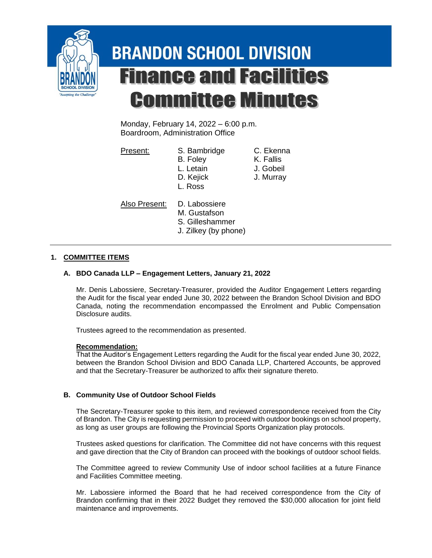

# **BRANDON SCHOOL DIVISION Finance and Facilities Committee Minutes**

Monday, February 14, 2022 – 6:00 p.m. Boardroom, Administration Office

Present: S. Bambridge C. Ekenna B. Foley K. Fallis

L. Letain J. Gobeil D. Kejick J. Murray

L. Ross

Also Present: D. Labossiere

- M. Gustafson
- S. Gilleshammer
- J. Zilkey (by phone)

# **1. COMMITTEE ITEMS**

## **A. BDO Canada LLP – Engagement Letters, January 21, 2022**

Mr. Denis Labossiere, Secretary-Treasurer, provided the Auditor Engagement Letters regarding the Audit for the fiscal year ended June 30, 2022 between the Brandon School Division and BDO Canada, noting the recommendation encompassed the Enrolment and Public Compensation Disclosure audits.

Trustees agreed to the recommendation as presented.

## **Recommendation:**

That the Auditor's Engagement Letters regarding the Audit for the fiscal year ended June 30, 2022, between the Brandon School Division and BDO Canada LLP, Chartered Accounts, be approved and that the Secretary-Treasurer be authorized to affix their signature thereto.

## **B. Community Use of Outdoor School Fields**

The Secretary-Treasurer spoke to this item, and reviewed correspondence received from the City of Brandon. The City is requesting permission to proceed with outdoor bookings on school property, as long as user groups are following the Provincial Sports Organization play protocols.

Trustees asked questions for clarification. The Committee did not have concerns with this request and gave direction that the City of Brandon can proceed with the bookings of outdoor school fields.

The Committee agreed to review Community Use of indoor school facilities at a future Finance and Facilities Committee meeting.

Mr. Labossiere informed the Board that he had received correspondence from the City of Brandon confirming that in their 2022 Budget they removed the \$30,000 allocation for joint field maintenance and improvements.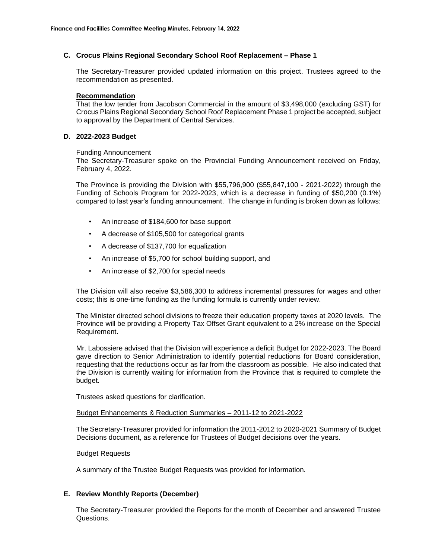#### **C. Crocus Plains Regional Secondary School Roof Replacement – Phase 1**

The Secretary-Treasurer provided updated information on this project. Trustees agreed to the recommendation as presented.

#### **Recommendation**

That the low tender from Jacobson Commercial in the amount of \$3,498,000 (excluding GST) for Crocus Plains Regional Secondary School Roof Replacement Phase 1 project be accepted, subject to approval by the Department of Central Services.

#### **D. 2022-2023 Budget**

#### Funding Announcement

The Secretary-Treasurer spoke on the Provincial Funding Announcement received on Friday, February 4, 2022.

The Province is providing the Division with \$55,796,900 (\$55,847,100 - 2021-2022) through the Funding of Schools Program for 2022-2023, which is a decrease in funding of \$50,200 (0.1%) compared to last year's funding announcement. The change in funding is broken down as follows:

- An increase of \$184,600 for base support
- A decrease of \$105,500 for categorical grants
- A decrease of \$137,700 for equalization
- An increase of \$5,700 for school building support, and
- An increase of \$2,700 for special needs

The Division will also receive \$3,586,300 to address incremental pressures for wages and other costs; this is one-time funding as the funding formula is currently under review.

The Minister directed school divisions to freeze their education property taxes at 2020 levels. The Province will be providing a Property Tax Offset Grant equivalent to a 2% increase on the Special Requirement.

Mr. Labossiere advised that the Division will experience a deficit Budget for 2022-2023. The Board gave direction to Senior Administration to identify potential reductions for Board consideration, requesting that the reductions occur as far from the classroom as possible. He also indicated that the Division is currently waiting for information from the Province that is required to complete the budget.

Trustees asked questions for clarification.

#### Budget Enhancements & Reduction Summaries – 2011-12 to 2021-2022

The Secretary-Treasurer provided for information the 2011-2012 to 2020-2021 Summary of Budget Decisions document, as a reference for Trustees of Budget decisions over the years.

#### Budget Requests

A summary of the Trustee Budget Requests was provided for information.

#### **E. Review Monthly Reports (December)**

The Secretary-Treasurer provided the Reports for the month of December and answered Trustee Questions.